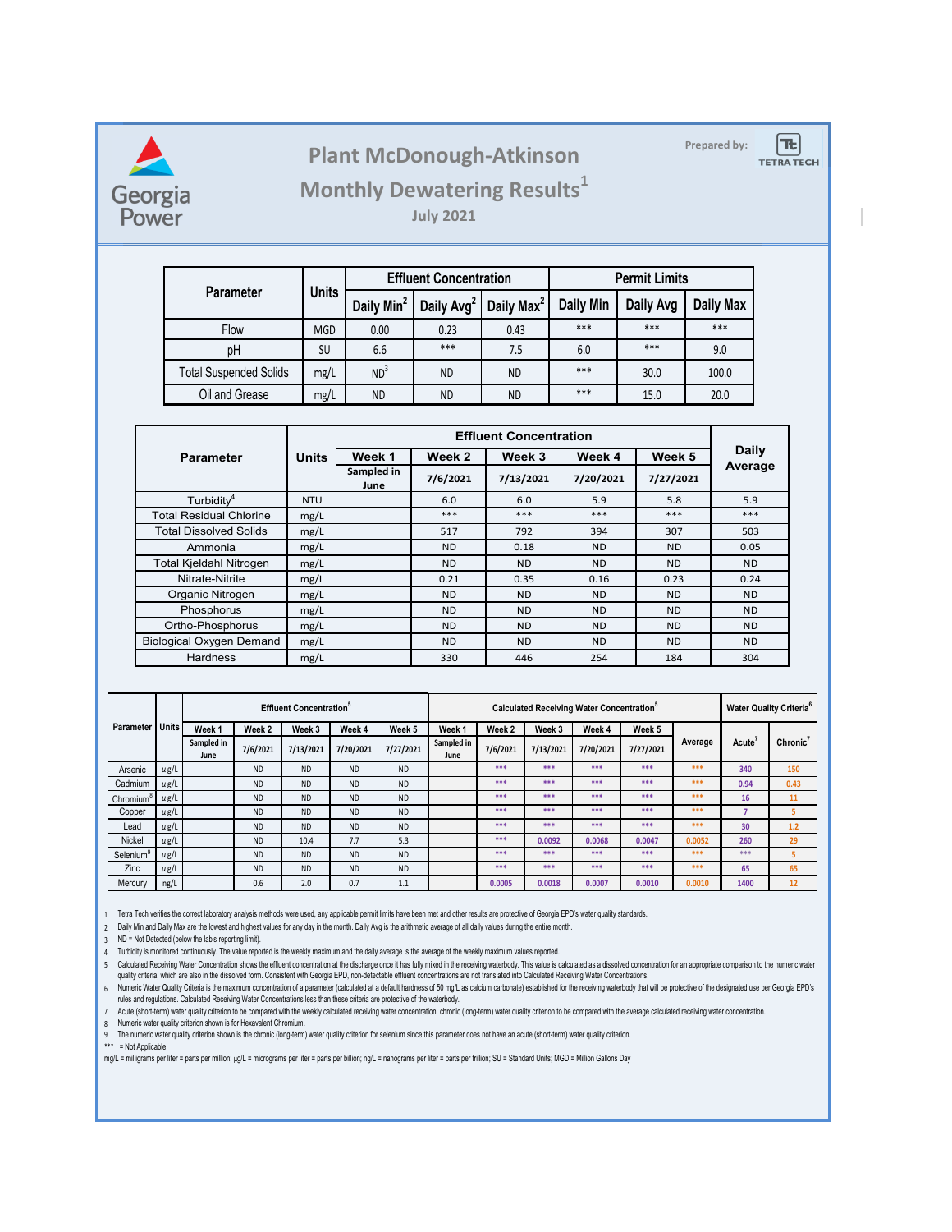

## **Prepared by: Plant McDonough-Atkinson**

 $|\mathbf{t}|$ 

**TETRA TECH** 

## **Monthly Dewatering Results<sup>1</sup>**

**July 2021**

|                               | <b>Units</b> |                        | <b>Effluent Concentration</b> |                        | <b>Permit Limits</b> |           |           |  |
|-------------------------------|--------------|------------------------|-------------------------------|------------------------|----------------------|-----------|-----------|--|
| <b>Parameter</b>              |              | Daily Min <sup>2</sup> | Daily Avg <sup>2</sup>        | Daily Max <sup>2</sup> | <b>Daily Min</b>     | Daily Avg | Daily Max |  |
| Flow                          | <b>MGD</b>   | 0.00                   | 0.23                          | 0.43                   | $***$                | ***       | $***$     |  |
| pH                            | SU           | 6.6                    | $***$                         | 7.5                    | 6.0                  | ***       | 9.0       |  |
| <b>Total Suspended Solids</b> | mg/L         | ND <sup>3</sup>        | <b>ND</b>                     | ND                     | ***                  | 30.0      | 100.0     |  |
| Oil and Grease<br>mg/L        |              | <b>ND</b>              | <b>ND</b>                     | ND                     | ***                  | 15.0      | 20.0      |  |

| <b>Parameter</b>                | <b>Units</b> | Week 1             | Week 2         | Week 3    | Week 4    | Week 5    | <b>Daily</b> |
|---------------------------------|--------------|--------------------|----------------|-----------|-----------|-----------|--------------|
|                                 |              | Sampled in<br>June | 7/6/2021       | 7/13/2021 | 7/20/2021 | 7/27/2021 | Average      |
| Turbidity <sup>4</sup>          | <b>NTU</b>   |                    | 6.0            | 6.0       | 5.9       | 5.8       | 5.9          |
| <b>Total Residual Chlorine</b>  | mg/L         |                    | ***            | ***       | ***       | ***       | ***          |
| <b>Total Dissolved Solids</b>   | mg/L         |                    | 517            | 792       | 394       | 307       | 503          |
| Ammonia                         | mg/L         |                    | N <sub>D</sub> | 0.18      | ND.       | <b>ND</b> | 0.05         |
| Total Kjeldahl Nitrogen         | mg/L         |                    | N <sub>D</sub> | <b>ND</b> | ND.       | <b>ND</b> | <b>ND</b>    |
| Nitrate-Nitrite                 | mg/L         |                    | 0.21           | 0.35      | 0.16      | 0.23      | 0.24         |
| Organic Nitrogen                | mg/L         |                    | <b>ND</b>      | ND.       | <b>ND</b> | <b>ND</b> | <b>ND</b>    |
| Phosphorus                      | mg/L         |                    | <b>ND</b>      | <b>ND</b> | ND.       | <b>ND</b> | <b>ND</b>    |
| Ortho-Phosphorus                | mg/L         |                    | <b>ND</b>      | <b>ND</b> | <b>ND</b> | <b>ND</b> | <b>ND</b>    |
| <b>Biological Oxygen Demand</b> | mg/L         |                    | <b>ND</b>      | <b>ND</b> | ND.       | <b>ND</b> | <b>ND</b>    |
| <b>Hardness</b>                 | mg/L         |                    | 330            | 446       | 254       | 184       | 304          |

|                       |              | <b>Effluent Concentration</b> <sup>5</sup> |                   |           |           |           | Calculated Receiving Water Concentration <sup>5</sup> |          |           |           |           | <b>Water Quality Criteria<sup>6</sup></b> |              |          |
|-----------------------|--------------|--------------------------------------------|-------------------|-----------|-----------|-----------|-------------------------------------------------------|----------|-----------|-----------|-----------|-------------------------------------------|--------------|----------|
| <b>Parameter</b>      | <b>Units</b> | Week 1                                     | Week <sub>2</sub> | Week 3    | Week 4    | Week 5    | Week <sub>1</sub>                                     | Week 2   | Week 3    | Week 4    | Week 5    |                                           |              |          |
|                       |              | Sampled in<br>June                         | 7/6/2021          | 7/13/2021 | 7/20/2021 | 7/27/2021 | Sampled in<br>June                                    | 7/6/2021 | 7/13/2021 | 7/20/2021 | 7/27/2021 | Average                                   | <b>Acute</b> | Chronic' |
| Arsenic               | $\mu$ g/L    |                                            | <b>ND</b>         | <b>ND</b> | <b>ND</b> | <b>ND</b> |                                                       | ***      | ***       | ***       | ***       | ***                                       | 340          | 150      |
| Cadmium               | $\mu$ g/L    |                                            | <b>ND</b>         | <b>ND</b> | <b>ND</b> | <b>ND</b> |                                                       | ***      | ***       | ***       | ***       | ***                                       | 0.94         | 0.43     |
| Chromium <sup>o</sup> | $\mu$ g/L    |                                            | <b>ND</b>         | <b>ND</b> | <b>ND</b> | <b>ND</b> |                                                       | ***      | ***       | ***       | ***       | ***                                       | 16           | 11       |
| Copper                | $\mu$ g/L    |                                            | <b>ND</b>         | <b>ND</b> | <b>ND</b> | <b>ND</b> |                                                       | ***      | ***       | ***       | ***       | ***                                       |              | 5        |
| Lead                  | $\mu$ g/L    |                                            | <b>ND</b>         | <b>ND</b> | <b>ND</b> | <b>ND</b> |                                                       | ***      | ***       | ***       | ***       | ***                                       | 30           | 1.2      |
| <b>Nickel</b>         | $\mu$ g/L    |                                            | <b>ND</b>         | 10.4      | 7.7       | 5.3       |                                                       | ***      | 0.0092    | 0.0068    | 0.0047    | 0.0052                                    | 260          | 29       |
| Selenium              | $\mu$ g/L    |                                            | <b>ND</b>         | <b>ND</b> | <b>ND</b> | <b>ND</b> |                                                       | ***      | ***       | ***       | ***       | ***                                       | ***          |          |
| Zinc                  | $\mu$ g/L    |                                            | <b>ND</b>         | <b>ND</b> | <b>ND</b> | <b>ND</b> |                                                       | ***      | ***       | ***       | ***       | ***                                       | 65           | 65       |
| Mercury               | ng/L         |                                            | 0.6               | 2.0       | 0.7       | 1.1       |                                                       | 0.0005   | 0.0018    | 0.0007    | 0.0010    | 0.0010                                    | 1400         | 12       |

1 Tetra Tech verifies the correct laboratory analysis methods were used, any applicable permit limits have been met and other results are protective of Georgia EPD's water quality standards.

2 Daily Min and Daily Max are the lowest and highest values for any day in the month. Daily Avg is the arithmetic average of all daily values during the entire month.

3 ND = Not Detected (below the lab's reporting limit).

4 Turbidity is monitored continuously. The value reported is the weekly maximum and the daily average is the average of the weekly maximum values reported.

5 Calculated Receiving Water Concentration shows the effluent concentration at the discnarge once it has fully mixed in the receiving waterbody. This value is calculated as a dissolved concentration for an appropriate comp quality criteria, which are also in the dissolved form. Consistent with Georgia EPD, non-detectable effluent concentrations are not translated into Calculated Receiving Water Concentrations.

6 Numeric water Quality Criteria is the maximum concentration of a parameter (calculated at a default nardness of 50 mg/L as calcium carbonate) established for the receiving waterbody that will be protective of the designate rules and regulations. Calculated Receiving Water Concentrations less than these criteria are protective of the waterbody.

7 Acute (short-term) water quality criterion to be compared with the weekly calculated recelving water concentration; chronic (long-term) water quality criterion to be compared with the average calculated receiving water c

8 Numeric water quality criterion shown is for Hexavalent Chromium.

9 The numeric water quality criterion shown is the chronic (long-term) water quality criterion for selenium since this parameter does not have an acute (short-term) water quality criterion.

\*\*\* = Not Applicable

mg/L = milligrams per liter = parts per million; µg/L = micrograms per liter = parts per billion; ng/L = nanograms per liter = parts per trillion; SU = Standard Units; MGD = Million Gallons Day